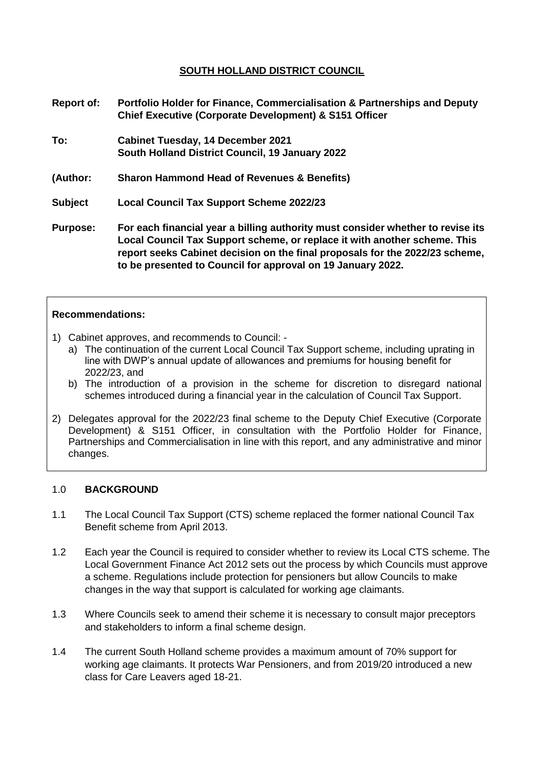## **SOUTH HOLLAND DISTRICT COUNCIL**

- **Report of: Portfolio Holder for Finance, Commercialisation & Partnerships and Deputy Chief Executive (Corporate Development) & S151 Officer**
- **To: Cabinet Tuesday, 14 December 2021 South Holland District Council, 19 January 2022**
- **(Author: Sharon Hammond Head of Revenues & Benefits)**
- **Subject Local Council Tax Support Scheme 2022/23**
- **Purpose: For each financial year a billing authority must consider whether to revise its Local Council Tax Support scheme, or replace it with another scheme. This report seeks Cabinet decision on the final proposals for the 2022/23 scheme, to be presented to Council for approval on 19 January 2022.**

#### **Recommendations:**

- 1) Cabinet approves, and recommends to Council:
	- a) The continuation of the current Local Council Tax Support scheme, including uprating in line with DWP's annual update of allowances and premiums for housing benefit for 2022/23, and
	- b) The introduction of a provision in the scheme for discretion to disregard national schemes introduced during a financial year in the calculation of Council Tax Support.
- 2) Delegates approval for the 2022/23 final scheme to the Deputy Chief Executive (Corporate Development) & S151 Officer, in consultation with the Portfolio Holder for Finance, Partnerships and Commercialisation in line with this report, and any administrative and minor changes.

#### 1.0 **BACKGROUND**

- 1.1 The Local Council Tax Support (CTS) scheme replaced the former national Council Tax Benefit scheme from April 2013.
- 1.2 Each year the Council is required to consider whether to review its Local CTS scheme. The Local Government Finance Act 2012 sets out the process by which Councils must approve a scheme. Regulations include protection for pensioners but allow Councils to make changes in the way that support is calculated for working age claimants.
- 1.3 Where Councils seek to amend their scheme it is necessary to consult major preceptors and stakeholders to inform a final scheme design.
- 1.4 The current South Holland scheme provides a maximum amount of 70% support for working age claimants. It protects War Pensioners, and from 2019/20 introduced a new class for Care Leavers aged 18-21.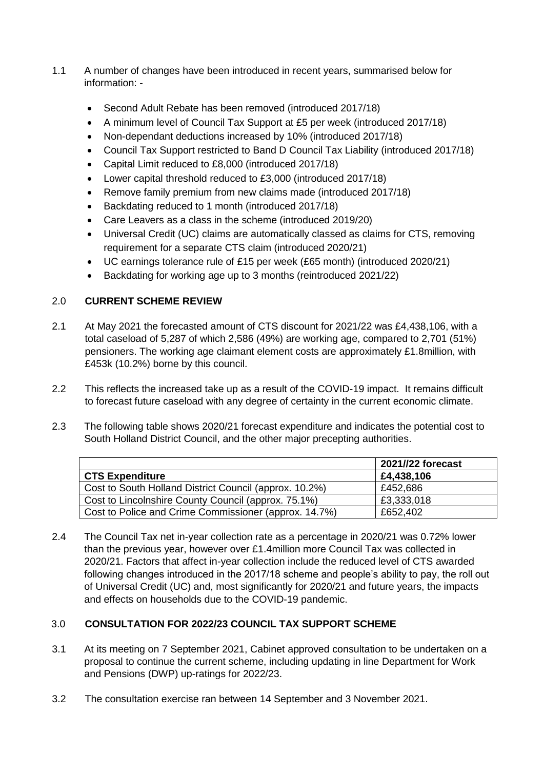- 1.1 A number of changes have been introduced in recent years, summarised below for information: -
	- Second Adult Rebate has been removed (introduced 2017/18)
	- A minimum level of Council Tax Support at £5 per week (introduced 2017/18)
	- Non-dependant deductions increased by 10% (introduced 2017/18)
	- Council Tax Support restricted to Band D Council Tax Liability (introduced 2017/18)
	- Capital Limit reduced to £8,000 (introduced 2017/18)
	- Lower capital threshold reduced to £3,000 (introduced 2017/18)
	- Remove family premium from new claims made (introduced 2017/18)
	- Backdating reduced to 1 month (introduced 2017/18)
	- Care Leavers as a class in the scheme (introduced 2019/20)
	- Universal Credit (UC) claims are automatically classed as claims for CTS, removing requirement for a separate CTS claim (introduced 2020/21)
	- UC earnings tolerance rule of £15 per week (£65 month) (introduced 2020/21)
	- Backdating for working age up to 3 months (reintroduced 2021/22)

# 2.0 **CURRENT SCHEME REVIEW**

- 2.1 At May 2021 the forecasted amount of CTS discount for 2021/22 was £4,438,106, with a total caseload of 5,287 of which 2,586 (49%) are working age, compared to 2,701 (51%) pensioners. The working age claimant element costs are approximately £1.8million, with £453k (10.2%) borne by this council.
- 2.2 This reflects the increased take up as a result of the COVID-19 impact. It remains difficult to forecast future caseload with any degree of certainty in the current economic climate.
- 2.3 The following table shows 2020/21 forecast expenditure and indicates the potential cost to South Holland District Council, and the other major precepting authorities.

|                                                        | 2021//22 forecast |
|--------------------------------------------------------|-------------------|
| <b>CTS Expenditure</b>                                 | £4,438,106        |
| Cost to South Holland District Council (approx. 10.2%) | £452,686          |
| Cost to Lincolnshire County Council (approx. 75.1%)    | £3,333,018        |
| Cost to Police and Crime Commissioner (approx. 14.7%)  | £652,402          |

2.4 The Council Tax net in-year collection rate as a percentage in 2020/21 was 0.72% lower than the previous year, however over £1.4million more Council Tax was collected in 2020/21. Factors that affect in-year collection include the reduced level of CTS awarded following changes introduced in the 2017/18 scheme and people's ability to pay, the roll out of Universal Credit (UC) and, most significantly for 2020/21 and future years, the impacts and effects on households due to the COVID-19 pandemic.

# 3.0 **CONSULTATION FOR 2022/23 COUNCIL TAX SUPPORT SCHEME**

- 3.1 At its meeting on 7 September 2021, Cabinet approved consultation to be undertaken on a proposal to continue the current scheme, including updating in line Department for Work and Pensions (DWP) up-ratings for 2022/23.
- 3.2 The consultation exercise ran between 14 September and 3 November 2021.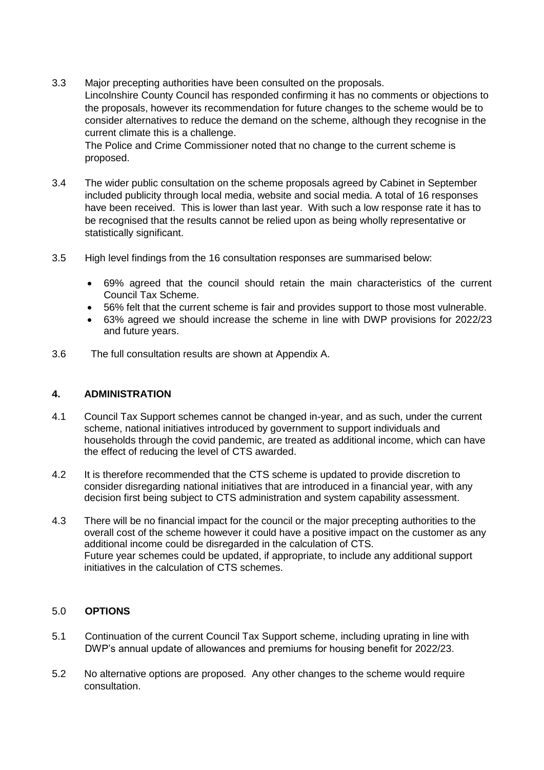3.3 Major precepting authorities have been consulted on the proposals. Lincolnshire County Council has responded confirming it has no comments or objections to the proposals, however its recommendation for future changes to the scheme would be to consider alternatives to reduce the demand on the scheme, although they recognise in the current climate this is a challenge.

The Police and Crime Commissioner noted that no change to the current scheme is proposed.

- 3.4 The wider public consultation on the scheme proposals agreed by Cabinet in September included publicity through local media, website and social media. A total of 16 responses have been received. This is lower than last year. With such a low response rate it has to be recognised that the results cannot be relied upon as being wholly representative or statistically significant.
- 3.5 High level findings from the 16 consultation responses are summarised below:
	- 69% agreed that the council should retain the main characteristics of the current Council Tax Scheme.
	- 56% felt that the current scheme is fair and provides support to those most vulnerable.
	- 63% agreed we should increase the scheme in line with DWP provisions for 2022/23 and future years.
- 3.6 The full consultation results are shown at Appendix A.

### **4. ADMINISTRATION**

- 4.1 Council Tax Support schemes cannot be changed in-year, and as such, under the current scheme, national initiatives introduced by government to support individuals and households through the covid pandemic, are treated as additional income, which can have the effect of reducing the level of CTS awarded.
- 4.2 It is therefore recommended that the CTS scheme is updated to provide discretion to consider disregarding national initiatives that are introduced in a financial year, with any decision first being subject to CTS administration and system capability assessment.
- 4.3 There will be no financial impact for the council or the major precepting authorities to the overall cost of the scheme however it could have a positive impact on the customer as any additional income could be disregarded in the calculation of CTS. Future year schemes could be updated, if appropriate, to include any additional support initiatives in the calculation of CTS schemes.

### 5.0 **OPTIONS**

- 5.1 Continuation of the current Council Tax Support scheme, including uprating in line with DWP's annual update of allowances and premiums for housing benefit for 2022/23.
- 5.2 No alternative options are proposed. Any other changes to the scheme would require consultation.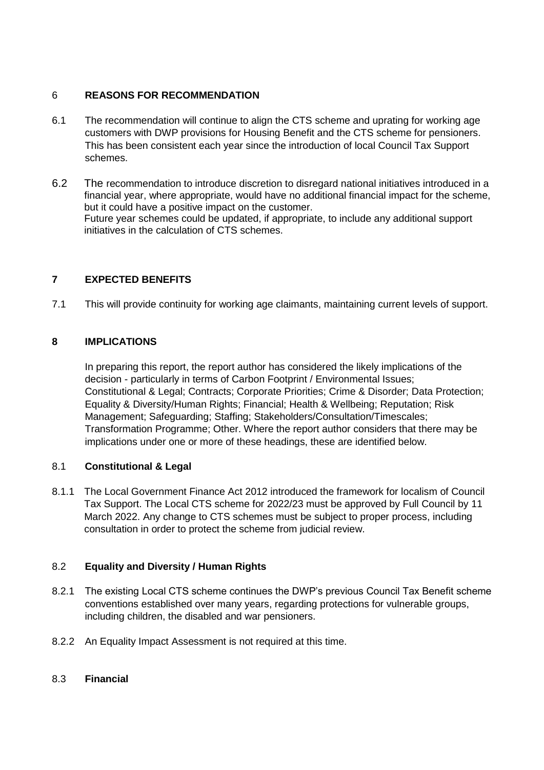## 6 **REASONS FOR RECOMMENDATION**

- 6.1 The recommendation will continue to align the CTS scheme and uprating for working age customers with DWP provisions for Housing Benefit and the CTS scheme for pensioners. This has been consistent each year since the introduction of local Council Tax Support schemes.
- 6.2 The recommendation to introduce discretion to disregard national initiatives introduced in a financial year, where appropriate, would have no additional financial impact for the scheme, but it could have a positive impact on the customer. Future year schemes could be updated, if appropriate, to include any additional support initiatives in the calculation of CTS schemes.

## **7 EXPECTED BENEFITS**

7.1 This will provide continuity for working age claimants, maintaining current levels of support.

### **8 IMPLICATIONS**

In preparing this report, the report author has considered the likely implications of the decision - particularly in terms of Carbon Footprint / Environmental Issues; Constitutional & Legal; Contracts; Corporate Priorities; Crime & Disorder; Data Protection; Equality & Diversity/Human Rights; Financial; Health & Wellbeing; Reputation; Risk Management; Safeguarding; Staffing; Stakeholders/Consultation/Timescales; Transformation Programme; Other. Where the report author considers that there may be implications under one or more of these headings, these are identified below.

### 8.1 **Constitutional & Legal**

8.1.1 The Local Government Finance Act 2012 introduced the framework for localism of Council Tax Support. The Local CTS scheme for 2022/23 must be approved by Full Council by 11 March 2022. Any change to CTS schemes must be subject to proper process, including consultation in order to protect the scheme from judicial review.

## 8.2 **Equality and Diversity / Human Rights**

- 8.2.1 The existing Local CTS scheme continues the DWP's previous Council Tax Benefit scheme conventions established over many years, regarding protections for vulnerable groups, including children, the disabled and war pensioners.
- 8.2.2 An Equality Impact Assessment is not required at this time.

### 8.3 **Financial**